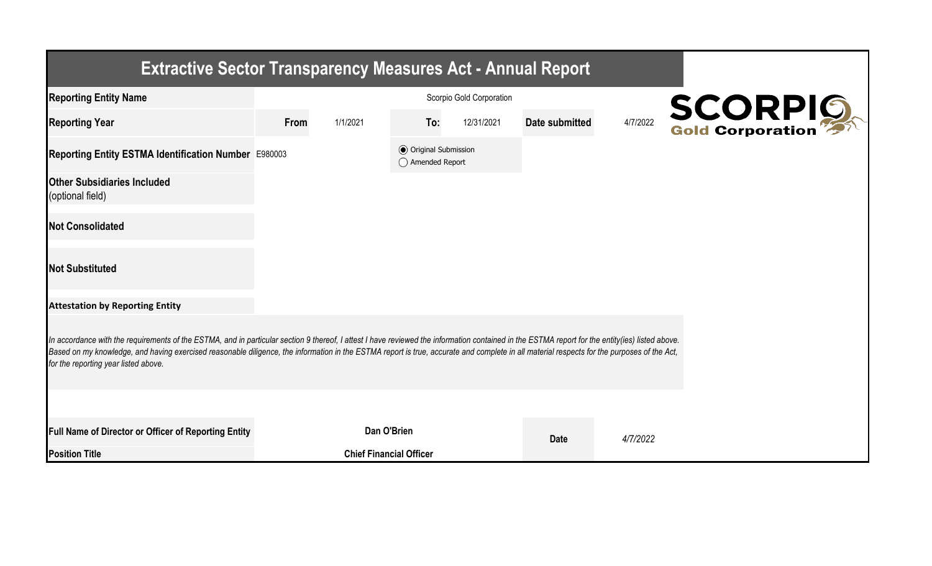| <b>Extractive Sector Transparency Measures Act - Annual Report</b>                                                                                                                                                                                                                                                                                                                                                                    |      |                                |                                                  |                          |                |          |                |  |  |
|---------------------------------------------------------------------------------------------------------------------------------------------------------------------------------------------------------------------------------------------------------------------------------------------------------------------------------------------------------------------------------------------------------------------------------------|------|--------------------------------|--------------------------------------------------|--------------------------|----------------|----------|----------------|--|--|
| <b>Reporting Entity Name</b>                                                                                                                                                                                                                                                                                                                                                                                                          |      |                                |                                                  | Scorpio Gold Corporation |                |          |                |  |  |
| <b>Reporting Year</b>                                                                                                                                                                                                                                                                                                                                                                                                                 | From | 1/1/2021                       | To:                                              | 12/31/2021               | Date submitted | 4/7/2022 | <b>SCORPIO</b> |  |  |
| Reporting Entity ESTMA Identification Number E980003                                                                                                                                                                                                                                                                                                                                                                                  |      |                                | <b>◎</b> Original Submission<br>◯ Amended Report |                          |                |          |                |  |  |
| <b>Other Subsidiaries Included</b><br>(optional field)                                                                                                                                                                                                                                                                                                                                                                                |      |                                |                                                  |                          |                |          |                |  |  |
| <b>Not Consolidated</b>                                                                                                                                                                                                                                                                                                                                                                                                               |      |                                |                                                  |                          |                |          |                |  |  |
| <b>Not Substituted</b>                                                                                                                                                                                                                                                                                                                                                                                                                |      |                                |                                                  |                          |                |          |                |  |  |
| <b>Attestation by Reporting Entity</b>                                                                                                                                                                                                                                                                                                                                                                                                |      |                                |                                                  |                          |                |          |                |  |  |
| In accordance with the requirements of the ESTMA, and in particular section 9 thereof, I attest I have reviewed the information contained in the ESTMA report for the entity(ies) listed above.<br>Based on my knowledge, and having exercised reasonable diligence, the information in the ESTMA report is true, accurate and complete in all material respects for the purposes of the Act,<br>for the reporting year listed above. |      |                                |                                                  |                          |                |          |                |  |  |
|                                                                                                                                                                                                                                                                                                                                                                                                                                       |      |                                |                                                  |                          |                |          |                |  |  |
| Full Name of Director or Officer of Reporting Entity                                                                                                                                                                                                                                                                                                                                                                                  |      | Dan O'Brien                    |                                                  |                          | <b>Date</b>    | 4/7/2022 |                |  |  |
| <b>Position Title</b>                                                                                                                                                                                                                                                                                                                                                                                                                 |      | <b>Chief Financial Officer</b> |                                                  |                          |                |          |                |  |  |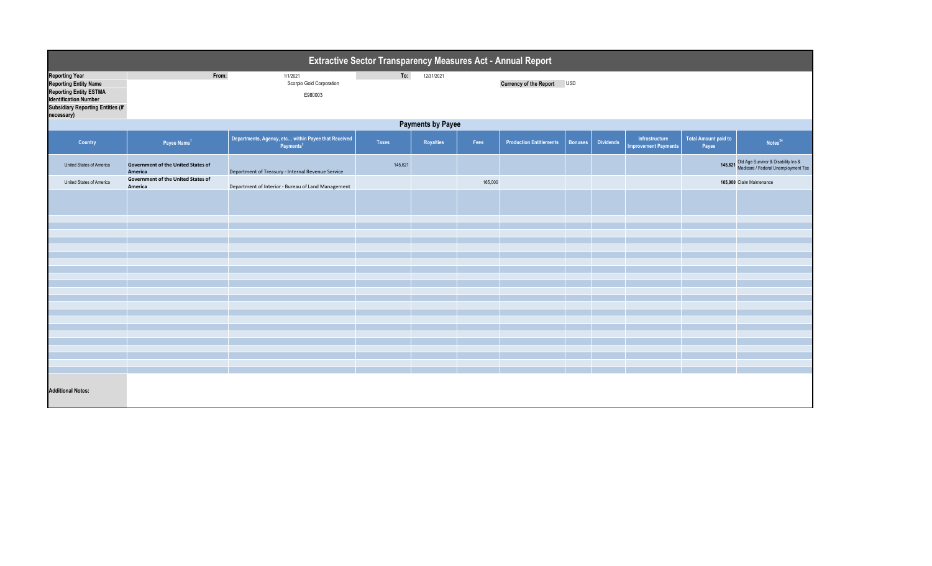| Extractive Sector Transparency Measures Act - Annual Report                                                                                                                      |                                                      |                                                                              |              |                  |         |                                |                |                  |                                               |                                      |                                                                                    |
|----------------------------------------------------------------------------------------------------------------------------------------------------------------------------------|------------------------------------------------------|------------------------------------------------------------------------------|--------------|------------------|---------|--------------------------------|----------------|------------------|-----------------------------------------------|--------------------------------------|------------------------------------------------------------------------------------|
| <b>Reporting Year</b><br><b>Reporting Entity Name</b><br><b>Reporting Entity ESTMA</b><br><b>Identification Number</b><br><b>Subsidiary Reporting Entities (if</b><br>necessary) | From:                                                | 1/1/2021<br>Scorpio Gold Corporation<br>E980003                              | To:          | 12/31/2021       |         | <b>Currency of the Report</b>  | <b>USD</b>     |                  |                                               |                                      |                                                                                    |
|                                                                                                                                                                                  | <b>Payments by Payee</b>                             |                                                                              |              |                  |         |                                |                |                  |                                               |                                      |                                                                                    |
| Country                                                                                                                                                                          | Payee Name <sup>1</sup>                              | Departments, Agency, etc within Payee that Received<br>Payments <sup>2</sup> | <b>Taxes</b> | <b>Royalties</b> | Fees    | <b>Production Entitlements</b> | <b>Bonuses</b> | <b>Dividends</b> | Infrastructure<br><b>Improvement Payments</b> | <b>Total Amount paid to</b><br>Payee | Notes <sup>34</sup>                                                                |
| United States of America                                                                                                                                                         | <b>Government of the United States of</b><br>America | Department of Treasury - Internal Revenue Service                            | 145,621      |                  |         |                                |                |                  |                                               |                                      | 145,621 Old Age Survivor & Disability Ins &<br>Medicare / Federal Unemployment Tax |
| United States of America                                                                                                                                                         | Government of the United States of<br>America        | Department of Interior - Bureau of Land Management                           |              |                  | 165,000 |                                |                |                  |                                               |                                      | 165,000 Claim Maintenance                                                          |
|                                                                                                                                                                                  |                                                      |                                                                              |              |                  |         |                                |                |                  |                                               |                                      |                                                                                    |
|                                                                                                                                                                                  |                                                      |                                                                              |              |                  |         |                                |                |                  |                                               |                                      |                                                                                    |
|                                                                                                                                                                                  |                                                      |                                                                              |              |                  |         |                                |                |                  |                                               |                                      |                                                                                    |
|                                                                                                                                                                                  |                                                      |                                                                              |              |                  |         |                                |                |                  |                                               |                                      |                                                                                    |
|                                                                                                                                                                                  |                                                      |                                                                              |              |                  |         |                                |                |                  |                                               |                                      |                                                                                    |
|                                                                                                                                                                                  |                                                      |                                                                              |              |                  |         |                                |                |                  |                                               |                                      |                                                                                    |
|                                                                                                                                                                                  |                                                      |                                                                              |              |                  |         |                                |                |                  |                                               |                                      |                                                                                    |
|                                                                                                                                                                                  |                                                      |                                                                              |              |                  |         |                                |                |                  |                                               |                                      |                                                                                    |
|                                                                                                                                                                                  |                                                      |                                                                              |              |                  |         |                                |                |                  |                                               |                                      |                                                                                    |
|                                                                                                                                                                                  |                                                      |                                                                              |              |                  |         |                                |                |                  |                                               |                                      |                                                                                    |
|                                                                                                                                                                                  |                                                      |                                                                              |              |                  |         |                                |                |                  |                                               |                                      |                                                                                    |
|                                                                                                                                                                                  |                                                      |                                                                              |              |                  |         |                                |                |                  |                                               |                                      |                                                                                    |
|                                                                                                                                                                                  |                                                      |                                                                              |              |                  |         |                                |                |                  |                                               |                                      |                                                                                    |
|                                                                                                                                                                                  |                                                      |                                                                              |              |                  |         |                                |                |                  |                                               |                                      |                                                                                    |
|                                                                                                                                                                                  |                                                      |                                                                              |              |                  |         |                                |                |                  |                                               |                                      |                                                                                    |
| <b>Additional Notes:</b>                                                                                                                                                         |                                                      |                                                                              |              |                  |         |                                |                |                  |                                               |                                      |                                                                                    |